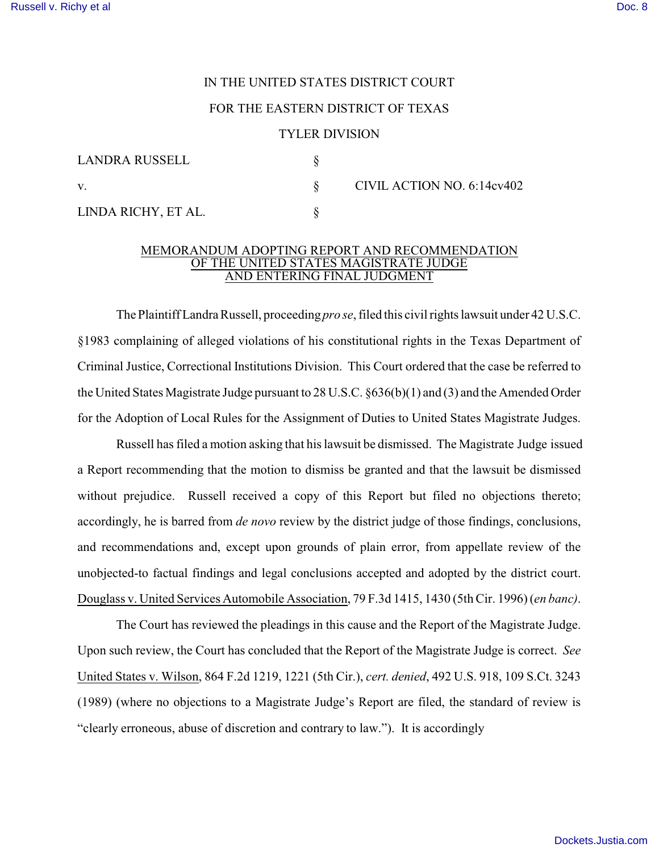## IN THE UNITED STATES DISTRICT COURT

## FOR THE EASTERN DISTRICT OF TEXAS

## TYLER DIVISION

| LANDRA RUSSELL      |                            |
|---------------------|----------------------------|
| V.                  | CIVIL ACTION NO. 6:14cv402 |
| LINDA RICHY, ET AL. |                            |

## MEMORANDUM ADOPTING REPORT AND RECOMMENDATION OF THE UNITED STATES MAGISTRATE JUDGE AND ENTERING FINAL JUDGMENT

The Plaintiff Landra Russell, proceeding *pro se*, filed this civil rights lawsuit under 42 U.S.C. §1983 complaining of alleged violations of his constitutional rights in the Texas Department of Criminal Justice, Correctional Institutions Division. This Court ordered that the case be referred to the United States Magistrate Judge pursuant to 28 U.S.C. §636(b)(1) and (3) and the Amended Order for the Adoption of Local Rules for the Assignment of Duties to United States Magistrate Judges.

 Russell has filed a motion asking that his lawsuit be dismissed. The Magistrate Judge issued a Report recommending that the motion to dismiss be granted and that the lawsuit be dismissed without prejudice. Russell received a copy of this Report but filed no objections thereto; accordingly, he is barred from *de novo* review by the district judge of those findings, conclusions, and recommendations and, except upon grounds of plain error, from appellate review of the unobjected-to factual findings and legal conclusions accepted and adopted by the district court. Douglass v. United Services Automobile Association, 79 F.3d 1415, 1430 (5th Cir. 1996) (*en banc)*.

The Court has reviewed the pleadings in this cause and the Report of the Magistrate Judge. Upon such review, the Court has concluded that the Report of the Magistrate Judge is correct. *See* United States v. Wilson, 864 F.2d 1219, 1221 (5th Cir.), *cert. denied*, 492 U.S. 918, 109 S.Ct. 3243 (1989) (where no objections to a Magistrate Judge's Report are filed, the standard of review is "clearly erroneous, abuse of discretion and contrary to law."). It is accordingly